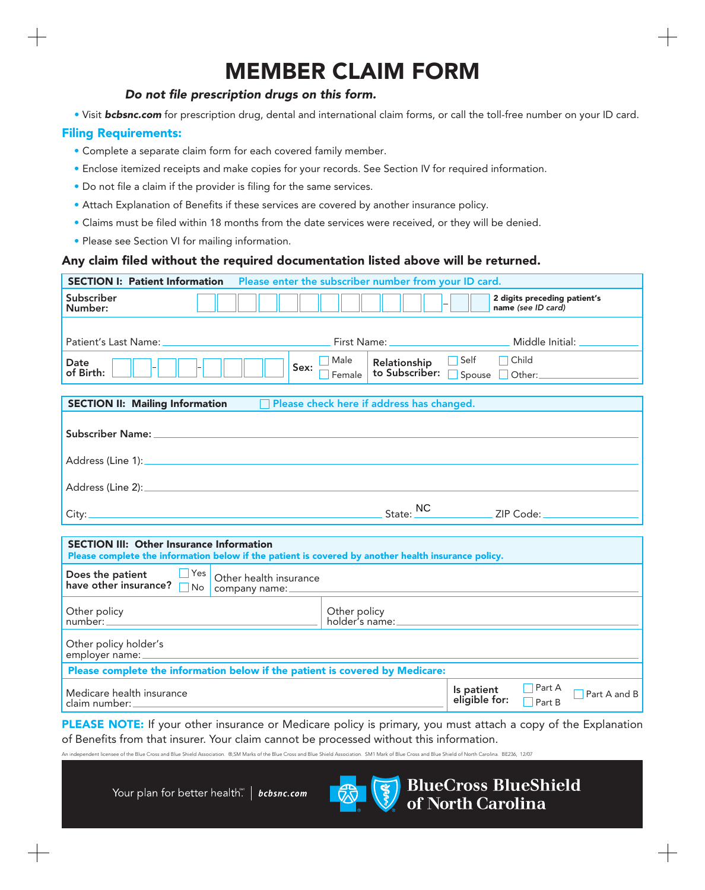## **MEMBER CLAIM FORM**

## *Do not file prescription drugs on this form.*

• Visit *bcbsnc.com* for prescription drug, dental and international claim forms, or call the toll-free number on your ID card.

## **Filing Requirements:**

- Complete a separate claim form for each covered family member.
- Enclose itemized receipts and make copies for your records. See Section IV for required information.
- Do not file a claim if the provider is filing for the same services.
- Attach Explanation of Benefits if these services are covered by another insurance policy.
- Claims must be filed within 18 months from the date services were received, or they will be denied.
- Please see Section VI for mailing information.

## **Any claim filed without the required documentation listed above will be returned.**

| Please enter the subscriber number from your ID card.<br><b>SECTION I: Patient Information</b>                                                         |                                                  |                                                                 |  |
|--------------------------------------------------------------------------------------------------------------------------------------------------------|--------------------------------------------------|-----------------------------------------------------------------|--|
| Subscriber<br>Number:                                                                                                                                  |                                                  | 2 digits preceding patient's<br>name (see ID card)              |  |
|                                                                                                                                                        |                                                  |                                                                 |  |
| Patient's Last Name:                                                                                                                                   |                                                  | Middle Initial:                                                 |  |
| Date<br>Sex:<br>of Birth:                                                                                                                              | Male<br>Relationship<br>to Subscriber:<br>Female | Self<br>Child<br>Spouse Other:                                  |  |
|                                                                                                                                                        |                                                  |                                                                 |  |
| <b>SECTION II: Mailing Information</b>                                                                                                                 | Please check here if address has changed.        |                                                                 |  |
| <b>Subscriber Name:</b>                                                                                                                                |                                                  |                                                                 |  |
|                                                                                                                                                        |                                                  |                                                                 |  |
|                                                                                                                                                        | State: NC                                        | ZIP Code:                                                       |  |
|                                                                                                                                                        |                                                  |                                                                 |  |
| <b>SECTION III: Other Insurance Information</b><br>Please complete the information below if the patient is covered by another health insurance policy. |                                                  |                                                                 |  |
| Yes<br>Does the patient<br>Other health insurance<br>have other insurance?<br>No<br>company name:                                                      |                                                  |                                                                 |  |
| Other policy<br>number:                                                                                                                                | Other policy                                     |                                                                 |  |
| Other policy holder's<br>employer name:                                                                                                                |                                                  |                                                                 |  |
| Please complete the information below if the patient is covered by Medicare:                                                                           |                                                  |                                                                 |  |
| Medicare health insurance<br>claim number:                                                                                                             |                                                  | Part A<br>Is patient<br>Part A and B<br>eligible for:<br>Part B |  |

**PLEASE NOTE:** If your other insurance or Medicare policy is primary, you must attach a copy of the Explanation of Benefits from that insurer. Your claim cannot be processed without this information.

nciation �����M Marks of the Blue Cross and Blue Shield Association. SM1 Mark of Blue Cross and Blue Shield of North Carolina. BE236, 12/07

Your plan for better health" | bcbsnc.com



**BlueCross BlueShield** of North Carolina